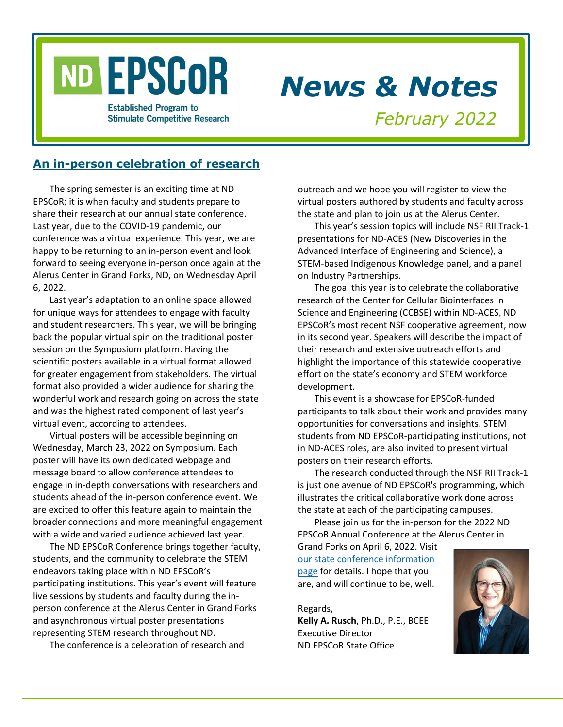# ND EPSCOR

# *News & Notes*

**Established Program to Stimulate Competitive Research** 

*February 2022*

# **An in-person celebration of research**

The spring semester is an exciting time at ND EPSCoR; it is when faculty and students prepare to share their research at our annual state conference. Last year, due to the COVID-19 pandemic, our conference was a virtual experience. This year, we are happy to be returning to an in-person event and look forward to seeing everyone in-person once again at the Alerus Center in Grand Forks, ND, on Wednesday April 6, 2022.

Last year's adaptation to an online space allowed for unique ways for attendees to engage with faculty and student researchers. This year, we will be bringing back the popular virtual spin on the traditional poster session on the Symposium platform. Having the scientific posters available in a virtual format allowed for greater engagement from stakeholders. The virtual format also provided a wider audience for sharing the wonderful work and research going on across the state and was the highest rated component of last year's virtual event, according to attendees.

Virtual posters will be accessible beginning on Wednesday, March 23, 2022 on Symposium. Each poster will have its own dedicated webpage and message board to allow conference attendees to engage in in-depth conversations with researchers and students ahead of the in-person conference event. We are excited to offer this feature again to maintain the broader connections and more meaningful engagement with a wide and varied audience achieved last year.

The ND EPSCoR Conference brings together faculty, students, and the community to celebrate the STEM endeavors taking place within ND EPSCoR's participating institutions. This year's event will feature live sessions by students and faculty during the inperson conference at the Alerus Center in Grand Forks and asynchronous virtual poster presentations representing STEM research throughout ND.

The conference is a celebration of research and

outreach and we hope you will register to view the virtual posters authored by students and faculty across the state and plan to join us at the Alerus Center.

This year's session topics will include NSF RII Track-1 presentations for ND-ACES (New Discoveries in the Advanced Interface of Engineering and Science), a STEM-based Indigenous Knowledge panel, and a panel on Industry Partnerships.

The goal this year is to celebrate the collaborative research of the Center for Cellular Biointerfaces in Science and Engineering (CCBSE) within ND-ACES, ND EPSCoR's most recent NSF cooperative agreement, now in its second year. Speakers will describe the impact of their research and extensive outreach efforts and highlight the importance of this statewide cooperative effort on the state's economy and STEM workforce development.

This event is a showcase for EPSCoR-funded participants to talk about their work and provides many opportunities for conversations and insights. STEM students from ND EPSCoR-participating institutions, not in ND-ACES roles, are also invited to present virtual posters on their research efforts.

The research conducted through the NSF RII Track-1 is just one avenue of ND EPSCoR's programming, which illustrates the critical collaborative work done across the state at each of the participating campuses.

Please join us for the in-person for the 2022 ND EPSCoR Annual Conference at the Alerus Center in

Grand Forks on April 6, 2022. Visit [our state conference information](https://www.ndepscor.ndus.edu/news/nd_epscor_state_conf/)  [page](https://www.ndepscor.ndus.edu/news/nd_epscor_state_conf/) for details. I hope that you are, and will continue to be, well.

Regards,

**Kelly A. Rusch**, Ph.D., P.E., BCEE Executive Director ND EPSCoR State Office

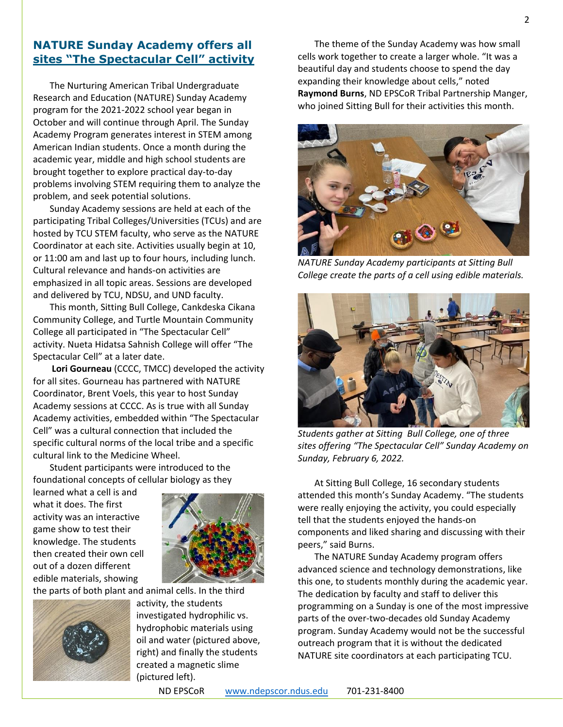# **NATURE Sunday Academy offers all sites "The Spectacular Cell" activity**

The Nurturing American Tribal Undergraduate Research and Education (NATURE) Sunday Academy program for the 2021-2022 school year began in October and will continue through April. The Sunday Academy Program generates interest in STEM among American Indian students. Once a month during the academic year, middle and high school students are brought together to explore practical day-to-day problems involving STEM requiring them to analyze the problem, and seek potential solutions.

Sunday Academy sessions are held at each of the participating Tribal Colleges/Universities (TCUs) and are hosted by TCU STEM faculty, who serve as the NATURE Coordinator at each site. Activities usually begin at 10, or 11:00 am and last up to four hours, including lunch. Cultural relevance and hands-on activities are emphasized in all topic areas. Sessions are developed and delivered by TCU, NDSU, and UND faculty.

This month, Sitting Bull College, Cankdeska Cikana Community College, and Turtle Mountain Community College all participated in "The Spectacular Cell" activity. Nueta Hidatsa Sahnish College will offer "The Spectacular Cell" at a later date.

**Lori Gourneau** (CCCC, TMCC) developed the activity for all sites. Gourneau has partnered with NATURE Coordinator, Brent Voels, this year to host Sunday Academy sessions at CCCC. As is true with all Sunday Academy activities, embedded within "The Spectacular Cell" was a cultural connection that included the specific cultural norms of the local tribe and a specific cultural link to the Medicine Wheel.

Student participants were introduced to the foundational concepts of cellular biology as they

learned what a cell is and what it does. The first activity was an interactive game show to test their knowledge. The students then created their own cell out of a dozen different edible materials, showing



the parts of both plant and animal cells. In the third



activity, the students investigated hydrophilic vs. hydrophobic materials using oil and water (pictured above, right) and finally the students created a magnetic slime (pictured left).

The theme of the Sunday Academy was how small cells work together to create a larger whole. "It was a beautiful day and students choose to spend the day expanding their knowledge about cells," noted **Raymond Burns**, ND EPSCoR Tribal Partnership Manger, who joined Sitting Bull for their activities this month.



*NATURE Sunday Academy participants at Sitting Bull College create the parts of a cell using edible materials.*



*Students gather at Sitting Bull College, one of three sites offering "The Spectacular Cell" Sunday Academy on Sunday, February 6, 2022.*

At Sitting Bull College, 16 secondary students attended this month's Sunday Academy. "The students were really enjoying the activity, you could especially tell that the students enjoyed the hands-on components and liked sharing and discussing with their peers," said Burns.

The NATURE Sunday Academy program offers advanced science and technology demonstrations, like this one, to students monthly during the academic year. The dedication by faculty and staff to deliver this programming on a Sunday is one of the most impressive parts of the over-two-decades old Sunday Academy program. Sunday Academy would not be the successful outreach program that it is without the dedicated NATURE site coordinators at each participating TCU.

ND EPSCoR [www.ndepscor.ndus.edu](http://www.ndepscor.ndus.edu/) 701-231-8400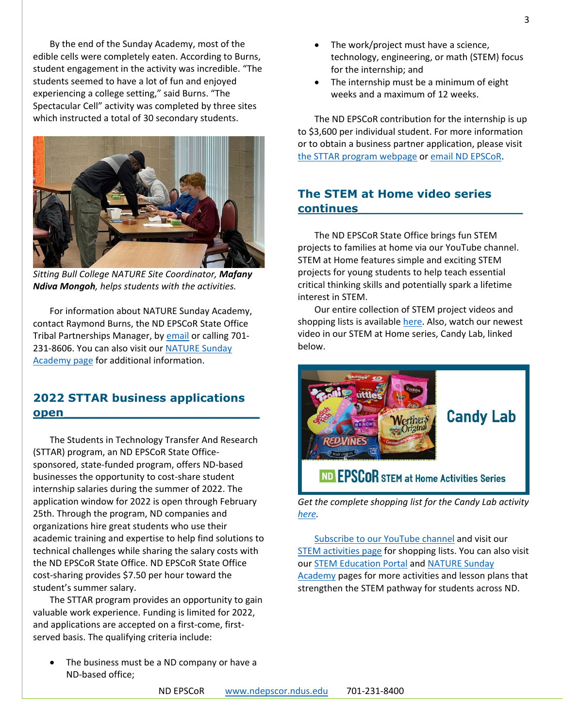By the end of the Sunday Academy, most of the edible cells were completely eaten. According to Burns, student engagement in the activity was incredible. "The students seemed to have a lot of fun and enjoyed experiencing a college setting," said Burns. "The Spectacular Cell" activity was completed by three sites which instructed a total of 30 secondary students.



*Sitting Bull College NATURE Site Coordinator, Mafany Ndiva Mongoh, helps students with the activities.*

For information about NATURE Sunday Academy, contact Raymond Burns, the ND EPSCoR State Office Tribal Partnerships Manager, by [email](mailto:raymond.burns@ndus.edu) or calling 701- 231-8606. You can also visit our [NATURE Sunday](https://www.ndepscor.ndus.edu/ndep/nature/sunday-academy/)  [Academy page](https://www.ndepscor.ndus.edu/ndep/nature/sunday-academy/) for additional information.

# **2022 STTAR business applications open\_\_\_\_\_\_\_\_\_\_\_\_\_\_\_\_\_\_\_\_\_\_\_\_\_**

The Students in Technology Transfer And Research (STTAR) program, an ND EPSCoR State Officesponsored, state-funded program, offers ND-based businesses the opportunity to cost-share student internship salaries during the summer of 2022. The application window for 2022 is open through February 25th. Through the program, ND companies and organizations hire great students who use their academic training and expertise to help find solutions to technical challenges while sharing the salary costs with the ND EPSCoR State Office. ND EPSCoR State Office cost-sharing provides \$7.50 per hour toward the student's summer salary.

The STTAR program provides an opportunity to gain valuable work experience. Funding is limited for 2022, and applications are accepted on a first-come, firstserved basis. The qualifying criteria include:

The business must be a ND company or have a ND-based office;

- The work/project must have a science, technology, engineering, or math (STEM) focus for the internship; and
- The internship must be a minimum of eight weeks and a maximum of 12 weeks.

The ND EPSCoR contribution for the internship is up to \$3,600 per individual student. For more information or to obtain a business partner application, please visit [the STTAR program webpage](https://www.ndepscor.ndus.edu/programs/sttar/) or [email ND](mailto:ndepscor@ndus.edu) EPSCoR.

# **The STEM at Home video series continues\_\_\_\_\_\_\_\_\_\_\_\_\_\_\_\_\_\_\_\_\_**

The ND EPSCoR State Office brings fun STEM projects to families at home via our YouTube channel. STEM at Home features simple and exciting STEM projects for young students to help teach essential critical thinking skills and potentially spark a lifetime interest in STEM.

Our entire collection of STEM project videos and shopping lists is availabl[e here.](https://www.ndepscor.ndus.edu/ndepscorprograms/stem_at_home_activities/) Also, watch our newest video in our STEM at Home series, Candy Lab, linked below.



*Get the complete shopping list for the Candy Lab activity [here.](https://bit.ly/3GuPtVL)*

[Subscribe to our YouTube channel](https://bit.ly/ndepscorchannel) and visit our [STEM activities page](https://www.ndepscor.ndus.edu/ndepscorprograms/stem_at_home_activities/) for shopping lists. You can also visit our [STEM Education Portal](https://www.ndepscor.ndus.edu/stem_education/stem_education_portal/) and [NATURE Sunday](https://www.ndepscor.ndus.edu/ndep/nature/sunday-academy/)  [Academy](https://www.ndepscor.ndus.edu/ndep/nature/sunday-academy/) pages for more activities and lesson plans that strengthen the STEM pathway for students across ND.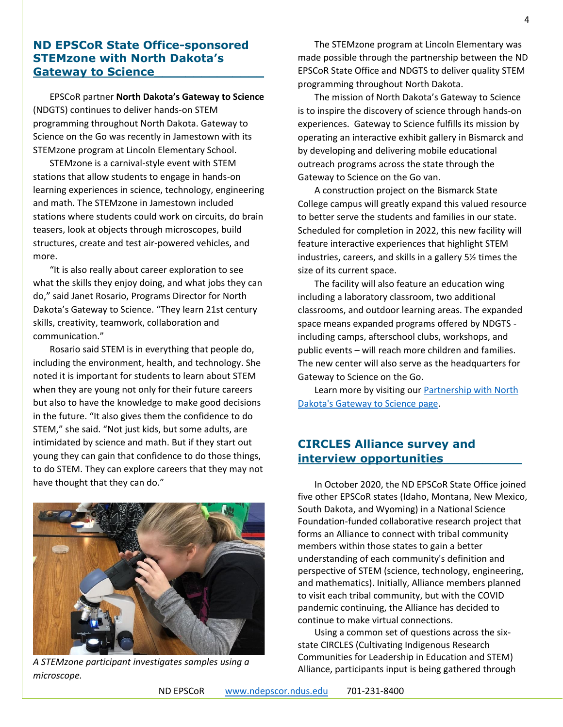# **ND EPSCoR State Office-sponsored STEMzone with North Dakota's Gateway to Science\_\_\_\_\_\_\_\_\_\_\_\_\_\_**

EPSCoR partner **North Dakota's Gateway to Science** (NDGTS) continues to deliver hands-on STEM programming throughout North Dakota. Gateway to Science on the Go was recently in Jamestown with its STEMzone program at Lincoln Elementary School.

STEMzone is a carnival-style event with STEM stations that allow students to engage in hands-on learning experiences in science, technology, engineering and math. The STEMzone in Jamestown included stations where students could work on circuits, do brain teasers, look at objects through microscopes, build structures, create and test air-powered vehicles, and more.

"It is also really about career exploration to see what the skills they enjoy doing, and what jobs they can do," said Janet Rosario, Programs Director for North Dakota's Gateway to Science. "They learn 21st century skills, creativity, teamwork, collaboration and communication."

Rosario said STEM is in everything that people do, including the environment, health, and technology. She noted it is important for students to learn about STEM when they are young not only for their future careers but also to have the knowledge to make good decisions in the future. "It also gives them the confidence to do STEM," she said. "Not just kids, but some adults, are intimidated by science and math. But if they start out young they can gain that confidence to do those things, to do STEM. They can explore careers that they may not have thought that they can do."



*A STEMzone participant investigates samples using a microscope.*

The STEMzone program at Lincoln Elementary was made possible through the partnership between the ND EPSCoR State Office and NDGTS to deliver quality STEM programming throughout North Dakota.

The mission of North Dakota's Gateway to Science is to inspire the discovery of science through hands-on experiences. Gateway to Science fulfills its mission by operating an interactive exhibit gallery in Bismarck and by developing and delivering mobile educational outreach programs across the state through the Gateway to Science on the Go van.

A construction project on the Bismarck State College campus will greatly expand this valued resource to better serve the students and families in our state. Scheduled for completion in 2022, this new facility will feature interactive experiences that highlight STEM industries, careers, and skills in a gallery 5½ times the size of its current space.

The facility will also feature an education wing including a laboratory classroom, two additional classrooms, and outdoor learning areas. The expanded space means expanded programs offered by NDGTS including camps, afterschool clubs, workshops, and public events – will reach more children and families. The new center will also serve as the headquarters for Gateway to Science on the Go.

Learn more by visiting our **Partnership with North** [Dakota's Gateway to Science page.](https://www.ndepscor.ndus.edu/education/gateway_to_science/)

# **CIRCLES Alliance survey and interview opportunities\_\_\_\_\_\_\_\_\_\_**

In October 2020, the ND EPSCoR State Office joined five other EPSCoR states (Idaho, Montana, New Mexico, South Dakota, and Wyoming) in a National Science Foundation-funded collaborative research project that forms an Alliance to connect with tribal community members within those states to gain a better understanding of each community's definition and perspective of STEM (science, technology, engineering, and mathematics). Initially, Alliance members planned to visit each tribal community, but with the COVID pandemic continuing, the Alliance has decided to continue to make virtual connections.

Using a common set of questions across the sixstate CIRCLES (Cultivating Indigenous Research Communities for Leadership in Education and STEM) Alliance, participants input is being gathered through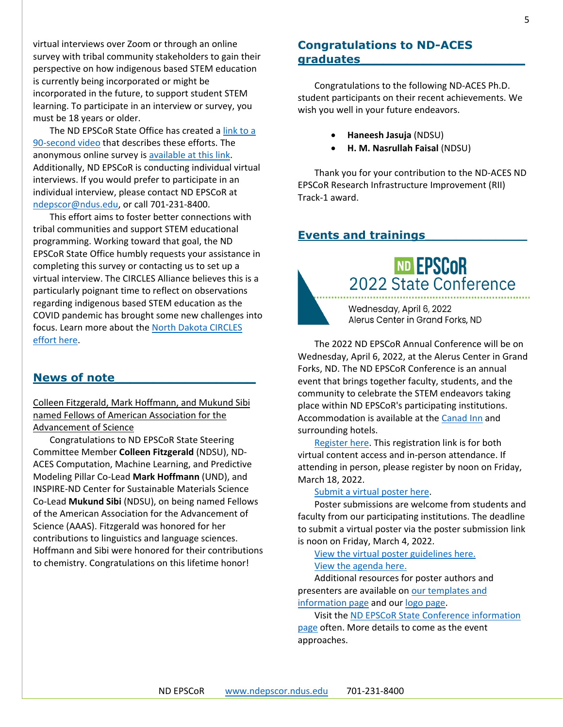virtual interviews over Zoom or through an online survey with tribal community stakeholders to gain their perspective on how indigenous based STEM education is currently being incorporated or might be incorporated in the future, to support student STEM learning. To participate in an interview or survey, you must be 18 years or older.

The ND EPSCoR State Office has created [a link to a](http://bit.ly/circlesalliance)  [90-second video](http://bit.ly/circlesalliance) that describes these efforts. The anonymous online survey is [available at this link.](https://ndstate.co1.qualtrics.com/jfe/form/SV_0vtVlLFJlzwWH2Z) Additionally, ND EPSCoR is conducting individual virtual interviews. If you would prefer to participate in an individual interview, please contact ND EPSCoR at [ndepscor@ndus.edu,](mailto:ndepscor@ndus.edu) or call 701-231-8400.

This effort aims to foster better connections with tribal communities and support STEM educational programming. Working toward that goal, the ND EPSCoR State Office humbly requests your assistance in completing this survey or contacting us to set up a virtual interview. The CIRCLES Alliance believes this is a particularly poignant time to reflect on observations regarding indigenous based STEM education as the COVID pandemic has brought some new challenges into focus. Learn more about the [North Dakota CIRCLES](https://www.ndepscor.ndus.edu/ndepscorprograms/circles_alliance_prime_institution_umt_2020_2022/)  [effort here.](https://www.ndepscor.ndus.edu/ndepscorprograms/circles_alliance_prime_institution_umt_2020_2022/)

# **News of note\_\_\_\_\_\_\_\_\_\_\_\_\_\_\_\_\_\_**

Colleen Fitzgerald, Mark Hoffmann, and Mukund Sibi named Fellows of American Association for the Advancement of Science

Congratulations to ND EPSCoR State Steering Committee Member **Colleen Fitzgerald** (NDSU), ND-ACES Computation, Machine Learning, and Predictive Modeling Pillar Co-Lead **Mark Hoffmann** (UND), and INSPIRE-ND Center for Sustainable Materials Science Co-Lead **Mukund Sibi** (NDSU), on being named Fellows of the American Association for the Advancement of Science (AAAS). Fitzgerald was honored for her contributions to linguistics and language sciences. Hoffmann and Sibi were honored for their contributions to chemistry. Congratulations on this lifetime honor!

# **Congratulations to ND-ACES graduates\_\_\_\_\_\_\_\_\_\_\_\_\_\_\_\_\_\_\_\_\_**

Congratulations to the following ND-ACES Ph.D. student participants on their recent achievements. We wish you well in your future endeavors.

- **Haneesh Jasuja** (NDSU)
- **H. M. Nasrullah Faisal** (NDSU)

Thank you for your contribution to the ND-ACES ND EPSCoR Research Infrastructure Improvement (RII) Track-1 award.

# **Events and trainings\_\_\_\_\_\_\_\_\_\_\_\_\_**

2022 State Conference

Wednesday, April 6, 2022 Alerus Center in Grand Forks, ND

**ND EPSCOR** 

The 2022 ND EPSCoR Annual Conference will be on Wednesday, April 6, 2022, at the Alerus Center in Grand Forks, ND. The ND EPSCoR Conference is an annual event that brings together faculty, students, and the community to celebrate the STEM endeavors taking place within ND EPSCoR's participating institutions. Accommodation is available at the [Canad Inn](https://www.canadinns.com/stay/grand-forks/) and surrounding hotels.

[Register here.](https://symposium.foragerone.com/nd-epscor-2022-state-conference/register) This registration link is for both virtual content access and in-person attendance. If attending in person, please register by noon on Friday, March 18, 2022.

#### [Submit a virtual poster here.](https://symposium.foragerone.com/nd-epscor-2022-state-conference/submission)

Poster submissions are welcome from students and faculty from our participating institutions. The deadline to submit a virtual poster via the poster submission link is noon on Friday, March 4, 2022.

[View the virtual poster guidelines here.](https://www.ndepscor.ndus.edu/fileadmin/ndus/ndepscor/State_Conference/Poster_Submission_Guidelines_2022.pdf)

### [View the agenda here.](https://www.ndepscor.ndus.edu/fileadmin/ndus/ndepscor/State_Conference/2022_ND_EPSCoR_State_Conference_Agenda.pdf)

Additional resources for poster authors and presenters are available o[n our templates and](https://www.ndepscor.ndus.edu/resources/)  [information page](https://www.ndepscor.ndus.edu/resources/) and our [logo page.](https://www.ndepscor.ndus.edu/resources/helpful-resources/poster-logos/)

Visit the [ND EPSCoR State Conference information](https://www.ndepscor.ndus.edu/news/nd_epscor_state_conf/)  [page](https://www.ndepscor.ndus.edu/news/nd_epscor_state_conf/) often. More details to come as the event approaches.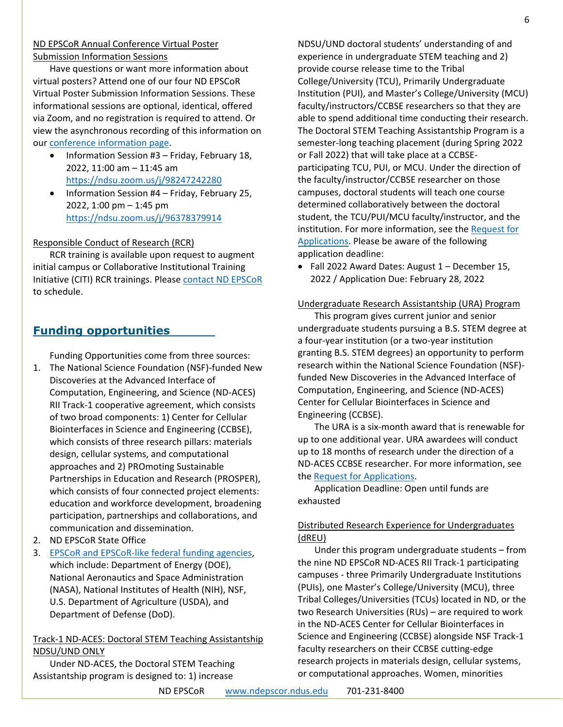#### ND EPSCoR Annual Conference Virtual Poster Submission Information Sessions

Have questions or want more information about virtual posters? Attend one of our four ND EPSCoR Virtual Poster Submission Information Sessions. These informational sessions are optional, identical, offered via Zoom, and no registration is required to attend. Or view the asynchronous recording of this information on our [conference information page.](https://www.ndepscor.ndus.edu/news/nd_epscor_state_conf/)

- Information Session #3 Friday, February 18, 2022, 11:00 am – 11:45 am <https://ndsu.zoom.us/j/98247242280>
- Information Session #4 Friday, February 25, 2022, 1:00 pm – 1:45 pm <https://ndsu.zoom.us/j/96378379914>

#### Responsible Conduct of Research (RCR)

RCR training is available upon request to augment initial campus or Collaborative Institutional Training Initiative (CITI) RCR trainings. Please [contact ND EPSCoR](mailto:ndepscor@ndus.edu) to schedule.

# **Funding opportunities**

Funding Opportunities come from three sources:

- 1. The National Science Foundation (NSF)-funded New Discoveries at the Advanced Interface of Computation, Engineering, and Science (ND-ACES) RII Track-1 cooperative agreement, which consists of two broad components: 1) Center for Cellular Biointerfaces in Science and Engineering (CCBSE), which consists of three research pillars: materials design, cellular systems, and computational approaches and 2) PROmoting Sustainable Partnerships in Education and Research (PROSPER), which consists of four connected project elements: education and workforce development, broadening participation, partnerships and collaborations, and communication and dissemination.
- 2. ND EPSCoR State Office
- 3. [EPSCoR and EPSCoR-like federal funding agencies,](https://www.nsf.gov/od/oia/programs/epscor/nsf_oiia_epscor_epscor_eicc.jsp) which include: Department of Energy (DOE), National Aeronautics and Space Administration (NASA), National Institutes of Health (NIH), NSF, U.S. Department of Agriculture (USDA), and Department of Defense (DoD).

# Track-1 ND-ACES: Doctoral STEM Teaching Assistantship NDSU/UND ONLY

Under ND-ACES, the Doctoral STEM Teaching Assistantship program is designed to: 1) increase

NDSU/UND doctoral students' understanding of and experience in undergraduate STEM teaching and 2) provide course release time to the Tribal College/University (TCU), Primarily Undergraduate Institution (PUI), and Master's College/University (MCU) faculty/instructors/CCBSE researchers so that they are able to spend additional time conducting their research. The Doctoral STEM Teaching Assistantship Program is a semester-long teaching placement (during Spring 2022 or Fall 2022) that will take place at a CCBSEparticipating TCU, PUI, or MCU. Under the direction of the faculty/instructor/CCBSE researcher on those campuses, doctoral students will teach one course determined collaboratively between the doctoral student, the TCU/PUI/MCU faculty/instructor, and the institution. For more information, see the [Request for](https://www.ndepscor.ndus.edu/fileadmin/ndus/ndepscor/STEM/STEM_Teaching_Asst._2021.pdf)  [Applications.](https://www.ndepscor.ndus.edu/fileadmin/ndus/ndepscor/STEM/STEM_Teaching_Asst._2021.pdf) Please be aware of the following application deadline:

• Fall 2022 Award Dates: August 1 – December 15, 2022 / Application Due: February 28, 2022

#### Undergraduate Research Assistantship (URA) Program

This program gives current junior and senior undergraduate students pursuing a B.S. STEM degree at a four-year institution (or a two-year institution granting B.S. STEM degrees) an opportunity to perform research within the National Science Foundation (NSF) funded New Discoveries in the Advanced Interface of Computation, Engineering, and Science (ND-ACES) Center for Cellular Biointerfaces in Science and Engineering (CCBSE).

The URA is a six-month award that is renewable for up to one additional year. URA awardees will conduct up to 18 months of research under the direction of a ND-ACES CCBSE researcher. For more information, see the [Request for Applications.](https://www.ndepscor.ndus.edu/fileadmin/ndus/ndepscor/Undergraduate_Research_Assistantship/URA_2022.23RFA_reopened.pdf)

Application Deadline: Open until funds are exhausted

# Distributed Research Experience for Undergraduates (dREU)

Under this program undergraduate students – from the nine ND EPSCoR ND-ACES RII Track-1 participating campuses - three Primarily Undergraduate Institutions (PUIs), one Master's College/University (MCU), three Tribal Colleges/Universities (TCUs) located in ND, or the two Research Universities (RUs) – are required to work in the ND-ACES Center for Cellular Biointerfaces in Science and Engineering (CCBSE) alongside NSF Track-1 faculty researchers on their CCBSE cutting-edge research projects in materials design, cellular systems, or computational approaches. Women, minorities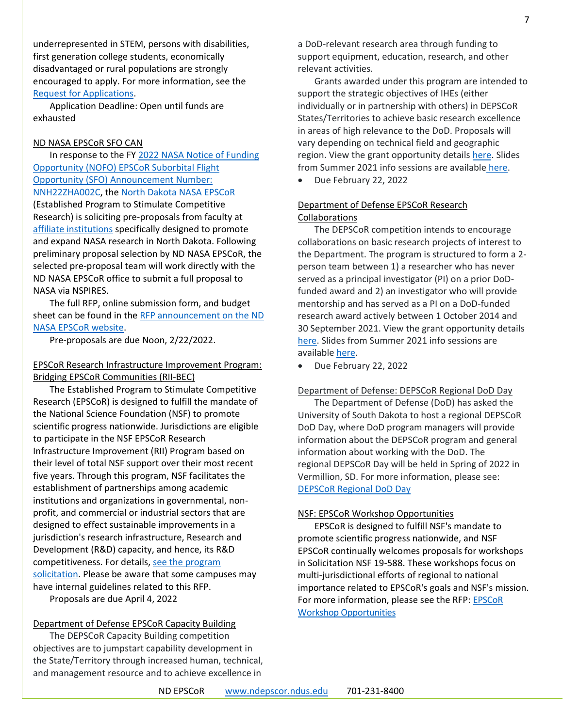underrepresented in STEM, persons with disabilities, first generation college students, economically disadvantaged or rural populations are strongly encouraged to apply. For more information, see the [Request for Applications.](https://www.ndepscor.ndus.edu/fileadmin/ndus/ndepscor/REU/2021REURFAfinal_reopened.pdf)

Application Deadline: Open until funds are exhausted

#### ND NASA EPSCoR SFO CAN

In response to the FY [2022 NASA Notice of Funding](https://nspires.nasaprs.com/external/solicitations/summary!init.do?solId=%7B4B3D113D-5353-DB80-07EA-64CCC33FB4E2%7D&path=open)  [Opportunity \(NOFO\) EPSCoR Suborbital Flight](https://nspires.nasaprs.com/external/solicitations/summary!init.do?solId=%7B4B3D113D-5353-DB80-07EA-64CCC33FB4E2%7D&path=open)  [Opportunity \(SFO\) Announcement Number:](https://nspires.nasaprs.com/external/solicitations/summary!init.do?solId=%7B4B3D113D-5353-DB80-07EA-64CCC33FB4E2%7D&path=open)  [NNH22ZHA002C,](https://nspires.nasaprs.com/external/solicitations/summary!init.do?solId=%7B4B3D113D-5353-DB80-07EA-64CCC33FB4E2%7D&path=open) the [North Dakota NASA EPSCoR](https://ndnasaepscor.und.edu/) (Established Program to Stimulate Competitive Research) is soliciting pre-proposals from faculty at [affiliate institutions](https://ndnasaepscor.und.edu/about/affiliate-members.html) specifically designed to promote and expand NASA research in North Dakota. Following preliminary proposal selection by ND NASA EPSCoR, the selected pre-proposal team will work directly with the ND NASA EPSCoR office to submit a full proposal to NASA via NSPIRES.

The full RFP, online submission form, and budget sheet can be found in the RFP announcement on the ND [NASA EPSCoR website.](http://blogs.und.edu/jdosas/2022/01/nd-nasa-epscor-sfo-can-sp22/)

Pre-proposals are due Noon, 2/22/2022.

#### EPSCoR Research Infrastructure Improvement Program: Bridging EPSCoR Communities (RII-BEC)

The Established Program to Stimulate Competitive Research (EPSCoR) is designed to fulfill the mandate of the National Science Foundation (NSF) to promote scientific progress nationwide. Jurisdictions are eligible to participate in the NSF EPSCoR Research Infrastructure Improvement (RII) Program based on their level of total NSF support over their most recent five years. Through this program, NSF facilitates the establishment of partnerships among academic institutions and organizations in governmental, nonprofit, and commercial or industrial sectors that are designed to effect sustainable improvements in a jurisdiction's research infrastructure, Research and Development (R&D) capacity, and hence, its R&D competitiveness. For details, [see the program](https://www.nsf.gov/pubs/2022/nsf22536/nsf22536.htm)  [solicitation.](https://www.nsf.gov/pubs/2022/nsf22536/nsf22536.htm) Please be aware that some campuses may have internal guidelines related to this RFP. Proposals are due April 4, 2022

Department of Defense EPSCoR Capacity Building

The DEPSCoR Capacity Building competition objectives are to jumpstart capability development in the State/Territory through increased human, technical, and management resource and to achieve excellence in

a DoD-relevant research area through funding to support equipment, education, research, and other relevant activities.

Grants awarded under this program are intended to support the strategic objectives of IHEs (either individually or in partnership with others) in DEPSCoR States/Territories to achieve basic research excellence in areas of high relevance to the DoD. Proposals will vary depending on technical field and geographic region. View the grant opportunity details [here.](https://epscorideafoundation.us1.list-manage.com/track/click?u=54d669391232b23bf15d1a89f&id=66c86fc795&e=e5e9efddb6) Slides from Summer 2021 info sessions are available [here.](https://epscorideafoundation.us1.list-manage.com/track/click?u=54d669391232b23bf15d1a89f&id=9cb850104f&e=e5e9efddb6)

• Due February 22, 2022

#### Department of Defense EPSCoR Research Collaborations

The DEPSCoR competition intends to encourage collaborations on basic research projects of interest to the Department. The program is structured to form a 2 person team between 1) a researcher who has never served as a principal investigator (PI) on a prior DoDfunded award and 2) an investigator who will provide mentorship and has served as a PI on a DoD-funded research award actively between 1 October 2014 and 30 September 2021. View the grant opportunity details [here.](https://www.grants.gov/web/grants/view-opportunity.html?oppId=333421) Slides from Summer 2021 info sessions are available [here.](https://epscorideafoundation.us1.list-manage.com/track/click?u=54d669391232b23bf15d1a89f&id=9cb850104f&e=e5e9efddb6)

• Due February 22, 2022

#### Department of Defense: DEPSCoR Regional DoD Day

The Department of Defense (DoD) has asked the University of South Dakota to host a regional DEPSCoR DoD Day, where DoD program managers will provide information about the DEPSCoR program and general information about working with the DoD. The regional DEPSCoR Day will be held in Spring of 2022 in Vermillion, SD. For more information, please see: [DEPSCoR Regional DoD Day](https://www.usd.edu/research/depscor-dod-day)

#### NSF: EPSCoR Workshop Opportunities

EPSCoR is designed to fulfill NSF's mandate to promote scientific progress nationwide, and NSF EPSCoR continually welcomes proposals for workshops in Solicitation NSF 19-588. These workshops focus on multi-jurisdictional efforts of regional to national importance related to EPSCoR's goals and NSF's mission. For more information, please see the RFP: [EPSCoR](https://www.nsf.gov/pubs/2019/nsf19588/nsf19588.pdf)  [Workshop Opportunities](https://www.nsf.gov/pubs/2019/nsf19588/nsf19588.pdf)